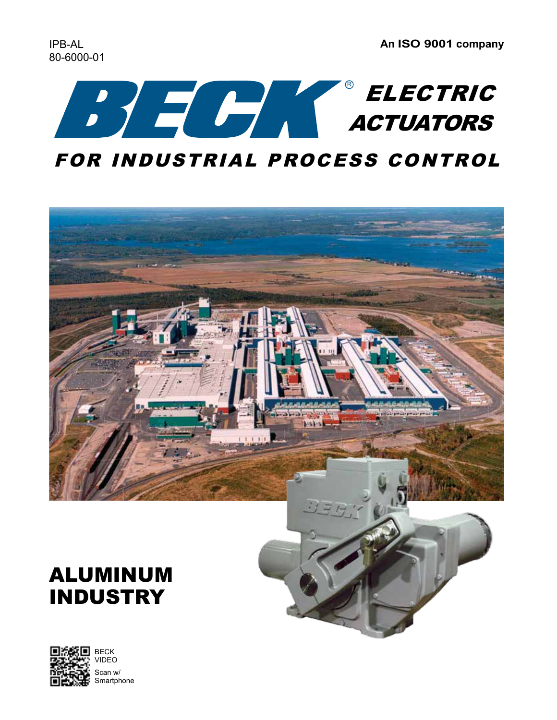



# ALUMINUM INDUSTRY

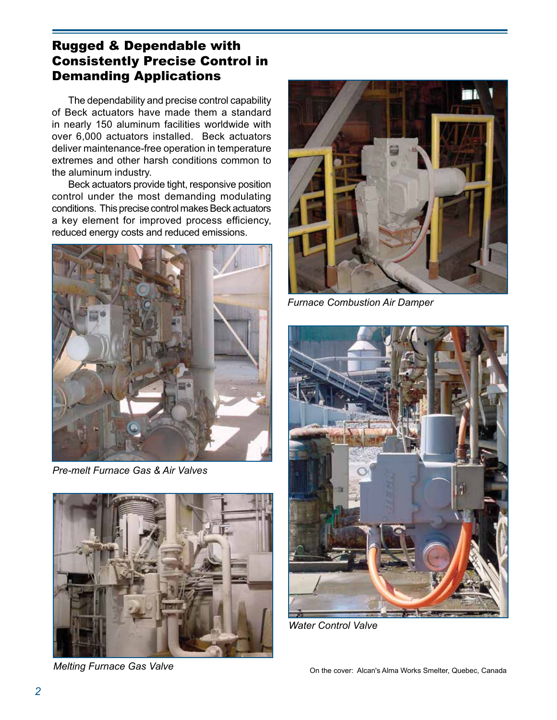## Rugged & Dependable with Consistently Precise Control in Demanding Applications

The dependability and precise control capability of Beck actuators have made them a standard in nearly 150 aluminum facilities worldwide with over 6,000 actuators installed. Beck actuators deliver maintenance-free operation in temperature extremes and other harsh conditions common to the aluminum industry.

 Beck actuators provide tight, responsive position control under the most demanding modulating conditions. This precise control makes Beck actuators a key element for improved process efficiency, reduced energy costs and reduced emissions.



*Pre-melt Furnace Gas & Air Valves*



*Melting Furnace Gas Valve*



*Furnace Combustion Air Damper*



*Water Control Valve*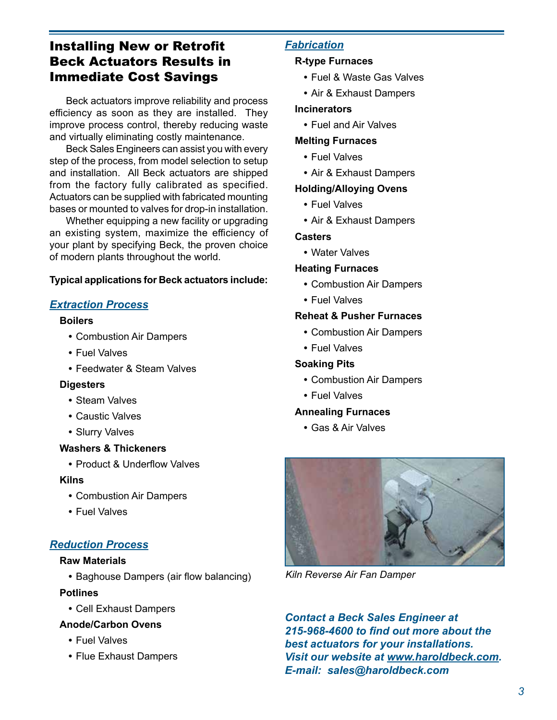## Installing New or Retrofit Beck Actuators Results in Immediate Cost Savings

 Beck actuators improve reliability and process efficiency as soon as they are installed. They improve process control, thereby reducing waste and virtually eliminating costly maintenance.

 Beck Sales Engineers can assist you with every step of the process, from model selection to setup and installation. All Beck actuators are shipped from the factory fully calibrated as specified. Actuators can be supplied with fabricated mounting bases or mounted to valves for drop-in installation.

 Whether equipping a new facility or upgrading an existing system, maximize the efficiency of your plant by specifying Beck, the proven choice of modern plants throughout the world.

#### **Typical applications for Beck actuators include:**

#### *Extraction Process*

#### **Boilers**

- **•** Combustion Air Dampers
- Fuel Valves
- Feedwater & Steam Valves

#### **Digesters**

- **•** Steam Valves
- **•** Caustic Valves
- **•** Slurry Valves

#### **Washers & Thickeners**

**•** Product & Underflow Valves

#### **Kilns**

- **•** Combustion Air Dampers
- **•** Fuel Valves

#### *Reduction Process*

#### **Raw Materials**

**•** Baghouse Dampers (air flow balancing)

#### **Potlines**

**•** Cell Exhaust Dampers

#### **Anode/Carbon Ovens**

- **•** Fuel Valves
- **•** Flue Exhaust Dampers

#### *Fabrication*

#### **R-type Furnaces**

- **•** Fuel & Waste Gas Valves
- **•** Air & Exhaust Dampers

#### **Incinerators**

 **•** Fuel and Air Valves

#### **Melting Furnaces**

- **•** Fuel Valves
- **•** Air & Exhaust Dampers

#### **Holding/Alloying Ovens**

- **•** Fuel Valves
- **•** Air & Exhaust Dampers

#### **Casters**

 **•** Water Valves

#### **Heating Furnaces**

- **•** Combustion Air Dampers
- **•** Fuel Valves

#### **Reheat & Pusher Furnaces**

- **•** Combustion Air Dampers
- **•** Fuel Valves

#### **Soaking Pits**

- **•** Combustion Air Dampers
- **•** Fuel Valves

#### **Annealing Furnaces**

 **•** Gas & Air Valves



*Kiln Reverse Air Fan Damper*

*Contact a Beck Sales Engineer at 215-968-4600 to find out more about the best actuators for your installations. Visit our website at www.haroldbeck.com. E-mail: sales@haroldbeck.com*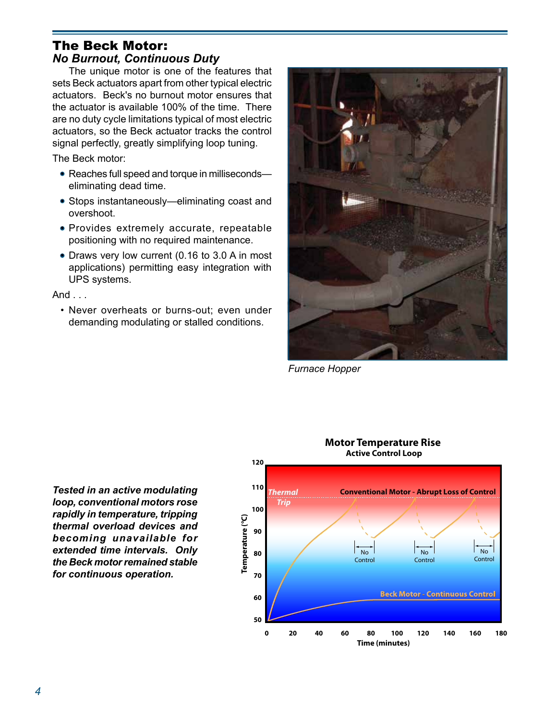## The Beck Motor: *No Burnout, Continuous Duty*

 The unique motor is one of the features that sets Beck actuators apart from other typical electric actuators. Beck's no burnout motor ensures that the actuator is available 100% of the time. There are no duty cycle limitations typical of most electric actuators, so the Beck actuator tracks the control signal perfectly, greatly simplifying loop tuning.

The Beck motor:

- Reaches full speed and torque in milliseconds eliminating dead time.
- Stops instantaneously—eliminating coast and overshoot.
- Provides extremely accurate, repeatable positioning with no required maintenance.
- Draws very low current (0.16 to 3.0 A in most applications) permitting easy integration with UPS systems.

And . . .

• Never overheats or burns-out; even under demanding modulating or stalled conditions.



*Furnace Hopper*

*Tested in an active modulating loop, conventional motors rose rapidly in temperature, tripping thermal overload devices and becoming unavailable for extended time intervals. Only the Beck motor remained stable for continuous operation.*

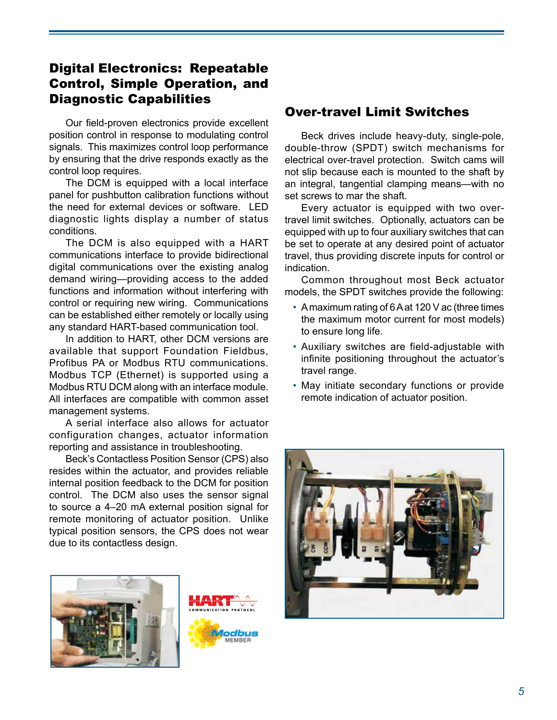## Digital Electronics: Repeatable Control, Simple Operation, and Diagnostic Capabilities

 Our field-proven electronics provide excellent position control in response to modulating control signals. This maximizes control loop performance by ensuring that the drive responds exactly as the control loop requires.

 The DCM is equipped with a local interface panel for pushbutton calibration functions without the need for external devices or software. LED diagnostic lights display a number of status conditions.

 The DCM is also equipped with a HART communications interface to provide bidirectional digital communications over the existing analog demand wiring—providing access to the added functions and information without interfering with control or requiring new wiring. Communications can be established either remotely or locally using any standard HART-based communication tool.

 In addition to HART, other DCM versions are available that support Foundation Fieldbus, Profibus PA or Modbus RTU communications. Modbus TCP (Ethernet) is supported using a Modbus RTU DCM along with an interface module. All interfaces are compatible with common asset management systems.

 A serial interface also allows for actuator configuration changes, actuator information reporting and assistance in troubleshooting.

 Beck's Contactless Position Sensor (CPS) also resides within the actuator, and provides reliable internal position feedback to the DCM for position control. The DCM also uses the sensor signal to source a 4–20 mA external position signal for remote monitoring of actuator position. Unlike typical position sensors, the CPS does not wear due to its contactless design.



## Over-travel Limit Switches

 Beck drives include heavy-duty, single-pole, double-throw (SPDT) switch mechanisms for electrical over-travel protection. Switch cams will not slip because each is mounted to the shaft by an integral, tangential clamping means—with no set screws to mar the shaft.

 Every actuator is equipped with two overtravel limit switches. Optionally, actuators can be equipped with up to four auxiliary switches that can be set to operate at any desired point of actuator travel, thus providing discrete inputs for control or indication.

 Common throughout most Beck actuator models, the SPDT switches provide the following:

- A maximum rating of 6 A at 120 V ac (three times the maximum motor current for most models) to ensure long life.
- Auxiliary switches are field-adjustable with infinite positioning throughout the actuator's travel range.
- May initiate secondary functions or provide remote indication of actuator position.

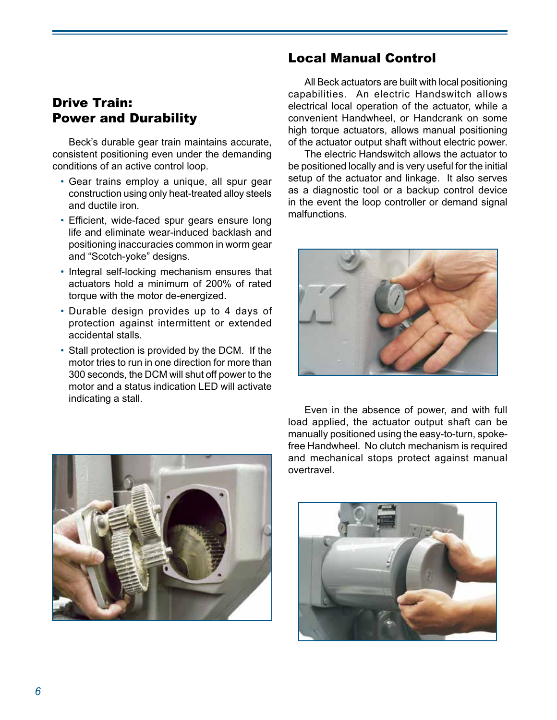## Drive Train: Power and Durability

 Beck's durable gear train maintains accurate, consistent positioning even under the demanding conditions of an active control loop.

- Gear trains employ a unique, all spur gear construction using only heat-treated alloy steels and ductile iron.
- Efficient, wide-faced spur gears ensure long life and eliminate wear-induced backlash and positioning inaccuracies common in worm gear and "Scotch-yoke" designs.
- Integral self-locking mechanism ensures that actuators hold a minimum of 200% of rated torque with the motor de-energized.
- Durable design provides up to 4 days of protection against intermittent or extended accidental stalls.
- Stall protection is provided by the DCM. If the motor tries to run in one direction for more than 300 seconds, the DCM will shut off power to the motor and a status indication LED will activate indicating a stall.

## Local Manual Control

 All Beck actuators are built with local positioning capabilities. An electric Handswitch allows electrical local operation of the actuator, while a convenient Handwheel, or Handcrank on some high torque actuators, allows manual positioning of the actuator output shaft without electric power.

 The electric Handswitch allows the actuator to be positioned locally and is very useful for the initial setup of the actuator and linkage. It also serves as a diagnostic tool or a backup control device in the event the loop controller or demand signal malfunctions.





 Even in the absence of power, and with full load applied, the actuator output shaft can be manually positioned using the easy-to-turn, spokefree Handwheel. No clutch mechanism is required and mechanical stops protect against manual overtravel.

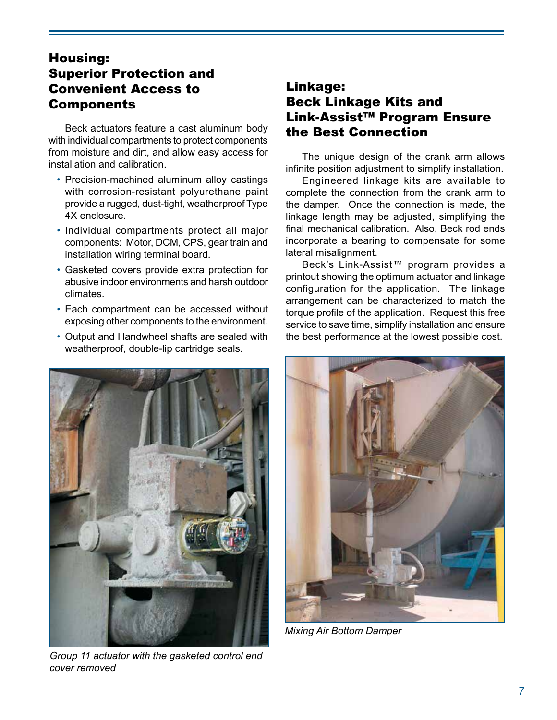## Housing: Superior Protection and Convenient Access to Components

 Beck actuators feature a cast aluminum body with individual compartments to protect components from moisture and dirt, and allow easy access for installation and calibration.

- Precision-machined aluminum alloy castings with corrosion-resistant polyurethane paint provide a rugged, dust-tight, weatherproof Type 4X enclosure.
- Individual compartments protect all major components: Motor, DCM, CPS, gear train and installation wiring terminal board.
- Gasketed covers provide extra protection for abusive indoor environments and harsh outdoor climates.
- Each compartment can be accessed without exposing other components to the environment.
- Output and Handwheel shafts are sealed with weatherproof, double-lip cartridge seals.



*Group 11 actuator with the gasketed control end cover removed*

## Linkage: Beck Linkage Kits and Link-Assist™ Program Ensure the Best Connection

 The unique design of the crank arm allows infinite position adjustment to simplify installation.

 Engineered linkage kits are available to complete the connection from the crank arm to the damper. Once the connection is made, the linkage length may be adjusted, simplifying the final mechanical calibration. Also, Beck rod ends incorporate a bearing to compensate for some lateral misalignment.

Beck's Link-Assist™ program provides a printout showing the optimum actuator and linkage configuration for the application. The linkage arrangement can be characterized to match the torque profile of the application. Request this free service to save time, simplify installation and ensure the best performance at the lowest possible cost.



*Mixing Air Bottom Damper*